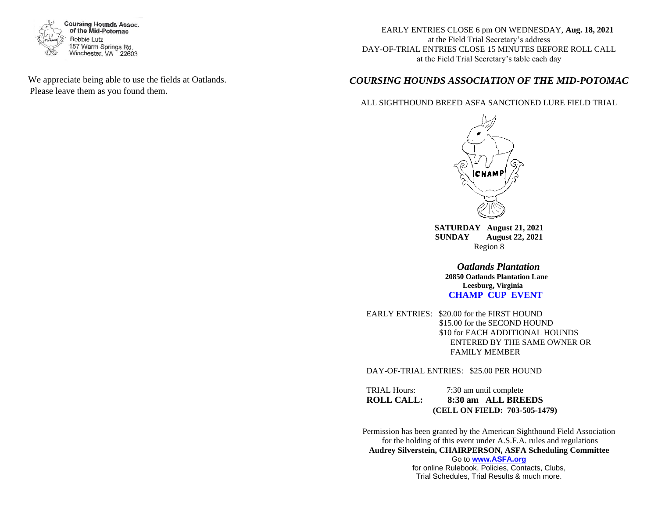

 We appreciate being able to use the fields at Oatlands. Please leave them as you found them.

 EARLY ENTRIES CLOSE 6 pm ON WEDNESDAY, **Aug. 18, 2021** at the Field Trial Secretary's address DAY-OF-TRIAL ENTRIES CLOSE 15 MINUTES BEFORE ROLL CALL at the Field Trial Secretary's table each day

## *COURSING HOUNDS ASSOCIATION OF THE MID-POTOMAC*

#### ALL SIGHTHOUND BREED ASFA SANCTIONED LURE FIELD TRIAL



**SATURDAY August 21, 2021 SUNDAY August 22, 2021** Region 8

> *Oatlands Plantation*  **20850 Oatlands Plantation Lane Leesburg, Virginia CHAMP CUP EVENT**

EARLY ENTRIES: \$20.00 for the FIRST HOUND \$15.00 for the SECOND HOUND \$10 for EACH ADDITIONAL HOUNDS ENTERED BY THE SAME OWNER OR FAMILY MEMBER

DAY-OF-TRIAL ENTRIES: \$25.00 PER HOUND

TRIAL Hours: 7:30 am until complete **ROLL CALL: 8:30 am ALL BREEDS (CELL ON FIELD: 703-505-1479)**

Permission has been granted by the American Sighthound Field Association for the holding of this event under A.S.F.A. rules and regulations **Audrey Silverstein, CHAIRPERSON, ASFA Scheduling Committee** Go to **[www.ASFA.org](http://www.asfa.org/)** for online Rulebook, Policies, Contacts, Clubs,

Trial Schedules, Trial Results & much more.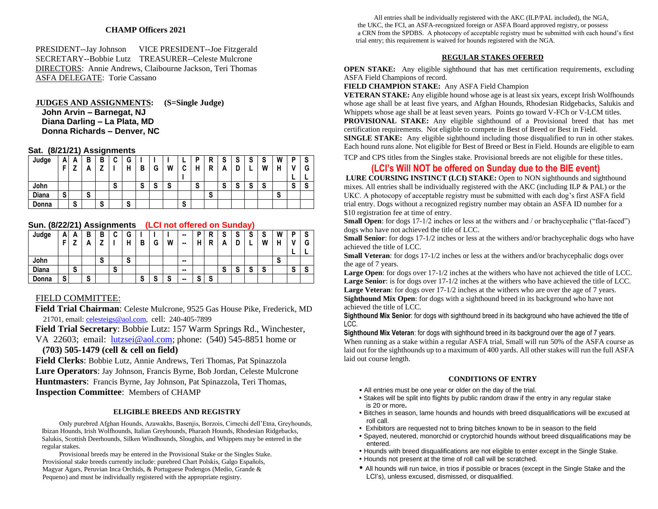## **CHAMP Officers 2021**

PRESIDENT--Jay Johnson VICE PRESIDENT--Joe Fitzgerald SECRETARY--Bobbie Lutz TREASURER--Celeste Mulcrone DIRECTORS: Annie Andrews, Claibourne Jackson, Teri Thomas ASFA DELEGATE: Torie Cassano

#### **JUDGES AND ASSIGNMENTS: (S=Single Judge) John Arvin – Barnegat, NJ Diana Darling – La Plata, MD Donna Richards – Denver, NC**

#### **Sat. (8/21/21) Assignments**

| Judge | А | A | В | В | ◠<br>u | G |                |        |        |        | D | D<br> |                           |        | S              | S | W | D      | o  |
|-------|---|---|---|---|--------|---|----------------|--------|--------|--------|---|-------|---------------------------|--------|----------------|---|---|--------|----|
|       |   | 7 | n |   |        | н | В              | G      | W      | ◠<br>u | н | D<br> | -                         |        |                | W | н |        | G  |
|       |   |   |   |   |        |   |                |        |        |        |   |       |                           |        |                |   |   |        |    |
| John  |   |   |   |   | e<br>১ |   | $\bullet$<br>ა | ິ<br>o | ິ<br>় |        | S |       | $\ddot{\phantom{0}}$<br>v | -<br>× | $\bullet$<br>ა | S |   | ີ<br>ν | ۰v |
| Diana | o |   | S |   |        |   |                |        |        |        |   | S     |                           |        |                |   | S |        |    |
| Donna |   | S |   | S |        | S |                |        |        | S      |   |       |                           |        |                |   |   |        |    |

**Sun. (8/22/21) Assignments (LCI not offered on Sunday)**

| Judge | n      | Δ<br>n | в              | в              | ◠<br>v | G |        |        |        | -- | D                 | R | e<br>o | S                         | $\bullet$<br>۰J           | S      | W      | D      | S      |
|-------|--------|--------|----------------|----------------|--------|---|--------|--------|--------|----|-------------------|---|--------|---------------------------|---------------------------|--------|--------|--------|--------|
|       | -      |        | n              |                |        | н | в      | G      | W      | -- | п                 | n | n      | L                         | -                         | W      |        |        | ◠<br>G |
|       |        |        |                |                |        |   |        |        |        |    |                   |   |        |                           |                           |        |        | -      |        |
| John  |        |        |                | $\bullet$<br>ა |        | S |        |        |        | -  |                   |   |        |                           |                           |        | ◠<br>ು |        |        |
| Diana |        | S      |                |                | S      |   |        |        |        | -- |                   |   | ໍ<br>o | $\ddot{\phantom{1}}$<br>۰ | $\ddot{\phantom{0}}$<br>o | e<br>ა |        | ◠<br>o | ົ<br>э |
| Donna | e<br>১ |        | $\bullet$<br>C |                |        |   | e<br>C | -<br>o | ◠<br>ю | -  | $\mathbf{C}$<br>э | S |        |                           |                           |        |        |        |        |

#### FIELD COMMITTEE:

 **Field Trial Chairman**: Celeste Mulcrone, 9525 Gas House Pike, Frederick, MD 21701, email[: celesteigs@aol.com,](mailto:celesteigs@aol.com) cell: 240-405-7899

**Field Trial Secretary**: Bobbie Lutz: 157 Warm Springs Rd., Winchester, VA 22603; email: [lutzsei@aol.com;](mailto:lutzsei@aol.com) phone: (540) 545-8851 home or

#### **(703) 505-1479 (cell & cell on field)**

**Field Clerks**: Bobbie Lutz, Annie Andrews, Teri Thomas, Pat Spinazzola **Lure Operators**: Jay Johnson, Francis Byrne, Bob Jordan, Celeste Mulcrone **Huntmasters**: Francis Byrne, Jay Johnson, Pat Spinazzola, Teri Thomas, **Inspection Committee**: Members of CHAMP

#### **ELIGIBLE BREEDS AND REGISTRY**

 Only purebred Afghan Hounds, Azawakhs, Basenjis, Borzois, Cirnechi dell'Etna, Greyhounds, Ibizan Hounds, Irish Wolfhounds, Italian Greyhounds, Pharaoh Hounds, Rhodesian Ridgebacks, Salukis, Scottish Deerhounds, Silken Windhounds, Sloughis, and Whippets may be entered in the regular stakes.

 Provisional breeds may be entered in the Provisional Stake or the Singles Stake. Provisional stake breeds currently include: purebred Chart Polskis, Galgo Españols, Magyar Agars, Peruvian Inca Orchids, & Portuguese Podengos (Medio, Grande & Pequeno) and must be individually registered with the appropriate registry.

All entries shall be individually registered with the AKC (ILP/PAL included), the NGA, the UKC, the FCI, an ASFA-recognized foreign or ASFA Board approved registry, or possess a CRN from the SPDBS. A photocopy of acceptable registry must be submitted with each hound's first trial entry; this requirement is waived for hounds registered with the NGA.

#### **REGULAR STAKES OFERED**

**OPEN STAKE:** Any eligible sighthound that has met certification requirements, excluding ASFA Field Champions of record.

#### **FIELD CHAMPION STAKE:** Any ASFA Field Champion

**VETERAN STAKE:** Any eligible hound whose age is at least six years, except Irish Wolfhounds whose age shall be at least five years, and Afghan Hounds, Rhodesian Ridgebacks, Salukis and Whippets whose age shall be at least seven years. Points go toward V-FCh or V-LCM titles.

**PROVISIONAL STAKE:** Any eligible sighthound of a Provisional breed that has met certification requirements. Not eligible to compete in Best of Breed or Best in Field.

**SINGLE STAKE:** Any eligible sighthound including those disqualified to run in other stakes. Each hound runs alone. Not eligible for Best of Breed or Best in Field. Hounds are eligible to earn

TCP and CPS titles from the Singles stake. Provisional breeds are not eligible for these titles.

## **(LCI's Will NOT be offered on Sunday due to the BIE event)**

LURE COURSING INSTINCT (LCI) STAKE: Open to NON sighthounds and sighthound mixes. All entries shall be individually registered with the AKC (including ILP & PAL) or the UKC. A photocopy of acceptable registry must be submitted with each dog's first ASFA field trial entry. Dogs without a recognized registry number may obtain an ASFA ID number for a \$10 registration fee at time of entry.

**Small Open**: for dogs 17-1/2 inches or less at the withers and / or brachycephalic ("flat-faced") dogs who have not achieved the title of LCC.

**Small Senior**: for dogs 17-1/2 inches or less at the withers and/or brachycephalic dogs who have achieved the title of LCC.

**Small Veteran**: for dogs 17-1/2 inches or less at the withers and/or brachycephalic dogs over the age of 7 years.

**Large Open**: for dogs over 17-1/2 inches at the withers who have not achieved the title of LCC. Large Senior: is for dogs over  $17-1/2$  inches at the withers who have achieved the title of LCC. **Large Veteran**: for dogs over  $17-1/2$  inches at the withers who are over the age of 7 years. **Sighthound Mix Open**: for dogs with a sighthound breed in its background who have not achieved the title of LCC.

**Sighthound Mix Senior**: for dogs with sighthound breed in its background who have achieved the title of LCC.

**Sighthound Mix Veteran**: for dogs with sighthound breed in its background over the age of 7 years. When running as a stake within a regular ASFA trial, Small will run 50% of the ASFA course as laid out for the sighthounds up to a maximum of 400 yards. All other stakes will run the full ASFA laid out course length.

#### **CONDITIONS OF ENTRY**

- All entries must be one year or older on the day of the trial.
- Stakes will be split into flights by public random draw if the entry in any regular stake is 20 or more**.**
- Bitches in season, lame hounds and hounds with breed disqualifications will be excused at roll call.
- Exhibitors are requested not to bring bitches known to be in season to the field
- Spayed, neutered, monorchid or cryptorchid hounds without breed disqualifications may be entered.
- Hounds with breed disqualifications are not eligible to enter except in the Single Stake.
- Hounds not present at the time of roll call will be scratched.
- All hounds will run twice, in trios if possible or braces (except in the Single Stake and the LCI's), unless excused, dismissed, or disqualified.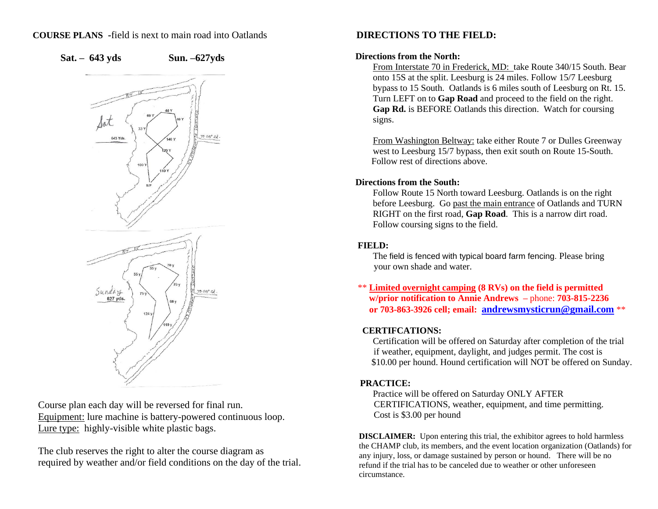## **COURSE PLANS -**field is next to main road into Oatlands



**Sat. – 643 yds Sun. –627yds**



 Course plan each day will be reversed for final run. Equipment: lure machine is battery-powered continuous loop. Lure type: highly-visible white plastic bags.

 The club reserves the right to alter the course diagram as required by weather and/or field conditions on the day of the trial.

# **DIRECTIONS TO THE FIELD:**

## **Directions from the North:**

From Interstate 70 in Frederick, MD: take Route 340/15 South. Bear onto 15S at the split. Leesburg is 24 miles. Follow 15/7 Leesburg bypass to 15 South. Oatlands is 6 miles south of Leesburg on Rt. 15. Turn LEFT on to **Gap Road** and proceed to the field on the right. **Gap Rd.** is BEFORE Oatlands this direction. Watch for coursing signs.

From Washington Beltway: take either Route 7 or Dulles Greenway west to Leesburg 15/7 bypass, then exit south on Route 15-South. Follow rest of directions above.

## **Directions from the South:**

Follow Route 15 North toward Leesburg. Oatlands is on the right before Leesburg. Go past the main entrance of Oatlands and TURN RIGHT on the first road, **Gap Road**. This is a narrow dirt road. Follow coursing signs to the field.

# **FIELD:**

The field is fenced with typical board farm fencing. Please bring your own shade and water.

\*\* **Limited overnight camping (8 RVs) on the field is permitted w/prior notification to Annie Andrews –** phone: **703-815-2236 or 703-863-3926 cell; email: [andrewsmysticrun@gmail.com](mailto:andrewsmysticrun@gmail.com)** \*\*

# **CERTIFCATIONS:**

Certification will be offered on Saturday after completion of the trial if weather, equipment, daylight, and judges permit. The cost is \$10.00 per hound. Hound certification will NOT be offered on Sunday.

# **PRACTICE:**

Practice will be offered on Saturday ONLY AFTER CERTIFICATIONS, weather, equipment, and time permitting. Cost is \$3.00 per hound

**DISCLAIMER:** Upon entering this trial, the exhibitor agrees to hold harmless the CHAMP club, its members, and the event location organization (Oatlands) for any injury, loss, or damage sustained by person or hound. There will be no refund if the trial has to be canceled due to weather or other unforeseen circumstance.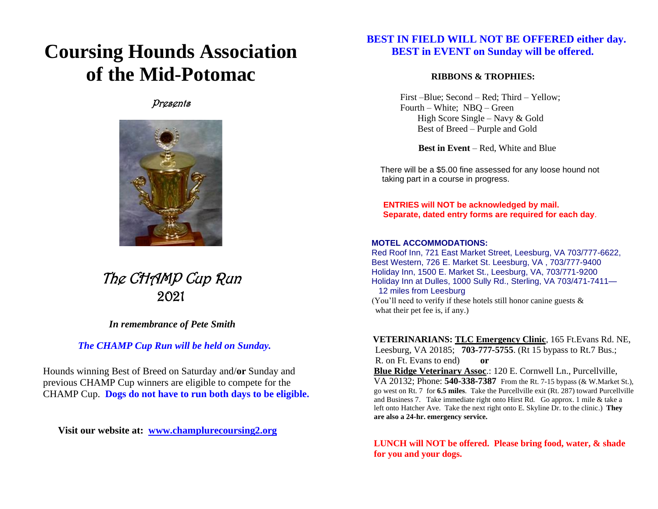# **Coursing Hounds Association of the Mid-Potomac**

# Presents



The CHAMP Cup Run 2021

*In remembrance of Pete Smith*

 *The CHAMP Cup Run will be held on Sunday.*

Hounds winning Best of Breed on Saturday and/**or** Sunday and previous CHAMP Cup winners are eligible to compete for the CHAMP Cup. **Dogs do not have to run both days to be eligible.**

**Visit our website at: [www.champlurecoursing2.org](http://www.champlurecoursing2.org/)**

# **BEST IN FIELD WILL NOT BE OFFERED either day. BEST in EVENT on Sunday will be offered.**

## **RIBBONS & TROPHIES:**

 First –Blue; Second – Red; Third – Yellow; Fourth – White; NBQ – Green High Score Single – Navy & Gold Best of Breed – Purple and Gold

 **Best in Event** – Red, White and Blue

 There will be a \$5.00 fine assessed for any loose hound not taking part in a course in progress.

 **ENTRIES will NOT be acknowledged by mail. Separate, dated entry forms are required for each day**.

## **MOTEL ACCOMMODATIONS:**

 Red Roof Inn, 721 East Market Street, Leesburg, VA 703/777-6622, Best Western, 726 E. Market St. Leesburg, VA , 703/777-9400 Holiday Inn, 1500 E. Market St., Leesburg, VA, 703/771-9200 Holiday Inn at Dulles, 1000 Sully Rd., Sterling, VA 703/471-7411— 12 miles from Leesburg (You'll need to verify if these hotels still honor canine guests & what their pet fee is, if any.)

 **VETERINARIANS: TLC Emergency Clinic**, 165 Ft.Evans Rd. NE, Leesburg, VA 20185; **703-777-5755**. (Rt 15 bypass to Rt.7 Bus.; R. on Ft. Evans to end) **or Blue Ridge Veterinary Assoc**.: 120 E. Cornwell Ln., Purcellville, VA 20132; Phone: **540-338-7387** From the Rt. 7-15 bypass (& W.Market St.), go west on Rt. 7 for **6.5 miles**. Take the Purcellville exit (Rt. 287) toward Purcellville and Business 7. Take immediate right onto Hirst Rd. Go approx. 1 mile & take a left onto Hatcher Ave. Take the next right onto E. Skyline Dr. to the clinic.) **They are also a 24-hr. emergency service.**

**LUNCH will NOT be offered. Please bring food, water, & shade for you and your dogs.**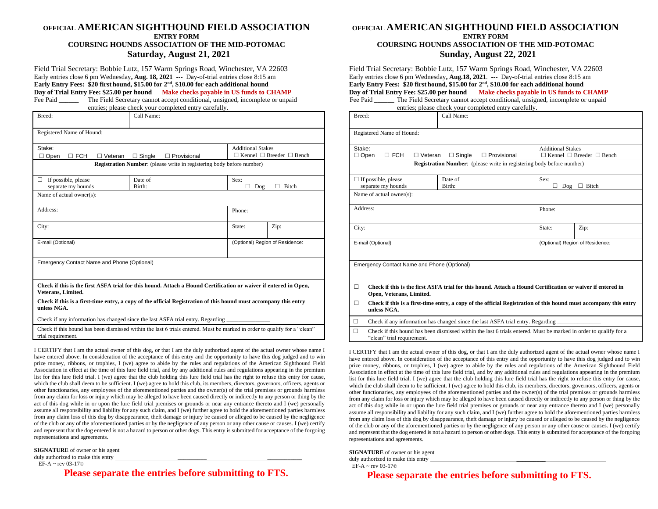#### **OFFICIAL AMERICAN SIGHTHOUND FIELD ASSOCIATION ENTRY FORM COURSING HOUNDS ASSOCIATION OF THE MID-POTOMAC Saturday, August 21, 2021**

Field Trial Secretary: Bobbie Lutz, 157 Warm Springs Road, Winchester, VA 22603 Early entries close 6 pm Wednesday**, Aug. 18, 2021** --- Day-of-trial entries close 8:15 am **Early Entry Fees: \$20 first hound, \$15.00 for 2nd , \$10.00 for each additional hound Day of Trial Entry Fee: \$25.00 per hound Make checks payable in US funds to CHAMP** Fee Paid \_\_\_\_\_\_\_ The Field Secretary cannot accept conditional, unsigned, incomplete or unpaid

entries; please check your completed entry carefully. Breed: Call Name: Registered Name of Hound: Stake:  $\Box$  Open  $\Box$  FCH  $\Box$  Veteran  $\Box$  Single  $\Box$  Provisional Additional Stakes  $\Box$  Kennel  $\Box$  Breeder  $\Box$  Bench **Registration Number**: (please write in registering body before number)  $\Box$  If possible, please separate my hounds Date of Birth: Sex:  $\Box$  Dog  $\Box$  Bitch Name of actual owner(s): Address: Phone: City: State: 2ip: E-mail (Optional) (Optional) Region of Residence: Emergency Contact Name and Phone (Optional) **Check if this is the first ASFA trial for this hound. Attach a Hound Certification or waiver if entered in Open, Veterans, Limited.**

 **Check if this is a first-time entry, a copy of the official Registration of this hound must accompany this entry unless NGA.**

Check if any information has changed since the last ASFA trial entry. Regarding \_

 Check if this hound has been dismissed within the last 6 trials entered. Must be marked in order to qualify for a "clean" trial requirement.

I CERTIFY that I am the actual owner of this dog, or that I am the duly authorized agent of the actual owner whose name I have entered above. In consideration of the acceptance of this entry and the opportunity to have this dog judged and to win prize money, ribbons, or trophies, I (we) agree to abide by the rules and regulations of the American Sighthound Field Association in effect at the time of this lure field trial, and by any additional rules and regulations appearing in the premium list for this lure field trial. I (we) agree that the club holding this lure field trial has the right to refuse this entry for cause, which the club shall deem to be sufficient. I (we) agree to hold this club, its members, directors, governors, officers, agents or other functionaries, any employees of the aforementioned parties and the owner(s) of the trial premises or grounds harmless from any claim for loss or injury which may be alleged to have been caused directly or indirectly to any person or thing by the act of this dog while in or upon the lure field trial premises or grounds or near any entrance thereto and I (we) personally assume all responsibility and liability for any such claim, and I (we) further agree to hold the aforementioned parties harmless from any claim loss of this dog by disappearance, theft damage or injury be caused or alleged to be caused by the negligence of the club or any of the aforementioned parties or by the negligence of any person or any other cause or causes. I (we) certify and represent that the dog entered is not a hazard to person or other dogs. This entry is submitted for acceptance of the forgoing representations and agreements.

**SIGNATURE** of owner or his agent duly authorized to make this entry

 $EF-A \sim rev$  03-17 $\odot$ 

 **Please separate the entries before submitting to FTS.**

### **OFFICIAL AMERICAN SIGHTHOUND FIELD ASSOCIATION ENTRY FORM**

## **COURSING HOUNDS ASSOCIATION OF THE MID-POTOMAC Sunday, August 22, 2021**

Field Trial Secretary: Bobbie Lutz, 157 Warm Springs Road, Winchester, VA 22603 Early entries close 6 pm Wednesday**, Aug.18, 2021**. --- Day-of-trial entries close 8:15 am **Early Entry Fees: \$20 first hound, \$15.00 for 2nd , \$10.00 for each additional hound Day of Trial Entry Fee: \$25.00 per hound Make checks payable in US funds to CHAMP**

Fee Paid \_\_\_\_\_\_\_ The Field Secretary cannot accept conditional, unsigned, incomplete or unpaid entries; please check your completed entry carefully.

|                                                       | entries, please check your completed entry carefully.                                                             |                          |                                           |
|-------------------------------------------------------|-------------------------------------------------------------------------------------------------------------------|--------------------------|-------------------------------------------|
| Breed:                                                | Call Name:                                                                                                        |                          |                                           |
| Registered Name of Hound:                             |                                                                                                                   |                          |                                           |
| Stake:<br>$\Box$ FCH<br>$\Box$ Open<br>$\Box$ Veteran | $\Box$ Single<br>$\Box$ Provisional                                                                               | <b>Additional Stakes</b> | $\Box$ Kennel $\Box$ Breeder $\Box$ Bench |
|                                                       | <b>Registration Number:</b> (please write in registering body before number)                                      |                          |                                           |
| $\Box$ If possible, please<br>separate my hounds      | Date of<br>Birth:                                                                                                 | Sex:<br>П<br>Dog         | $\Box$ Bitch                              |
| Name of actual owner(s):                              |                                                                                                                   |                          |                                           |
| Address:                                              |                                                                                                                   | Phone:                   |                                           |
| City:                                                 |                                                                                                                   | State:                   | Zip:                                      |
| E-mail (Optional)                                     |                                                                                                                   |                          | (Optional) Region of Residence:           |
| Emergency Contact Name and Phone (Optional)           |                                                                                                                   |                          |                                           |
| П<br>Open, Veterans, Limited.                         | Check if this is the first ASFA trial for this hound. Attach a Hound Certification or waiver if entered in        |                          |                                           |
| □<br>unless NGA.                                      | Check if this is a first-time entry, a copy of the official Registration of this hound must accompany this entry  |                          |                                           |
| $\Box$                                                | Check if any information has changed since the last ASFA trial entry. Regarding                                   |                          |                                           |
| $\Box$                                                | Check if this hound has been dismissed within the last 6 trials entered. Must be marked in order to qualify for a |                          |                                           |

"clean" trial requirement.

I CERTIFY that I am the actual owner of this dog, or that I am the duly authorized agent of the actual owner whose name I have entered above. In consideration of the acceptance of this entry and the opportunity to have this dog judged and to win prize money, ribbons, or trophies, I (we) agree to abide by the rules and regulations of the American Sighthound Field Association in effect at the time of this lure field trial, and by any additional rules and regulations appearing in the premium list for this lure field trial. I (we) agree that the club holding this lure field trial has the right to refuse this entry for cause, which the club shall deem to be sufficient. I (we) agree to hold this club, its members, directors, governors, officers, agents or other functionaries, any employees of the aforementioned parties and the owner(s) of the trial premises or grounds harmless from any claim for loss or injury which may be alleged to have been caused directly or indirectly to any person or thing by the act of this dog while in or upon the lure field trial premises or grounds or near any entrance thereto and I (we) personally assume all responsibility and liability for any such claim, and I (we) further agree to hold the aforementioned parties harmless from any claim loss of this dog by disappearance, theft damage or injury be caused or alleged to be caused by the negligence of the club or any of the aforementioned parties or by the negligence of any person or any other cause or causes. I (we) certify and represent that the dog entered is not a hazard to person or other dogs. This entry is submitted for acceptance of the forgoing representations and agreements.

**SIGNATURE** of owner or his agent

duly authorized to make this entry

EF-A ~ rev 03-17©

**Please separate the entries before submitting to FTS.**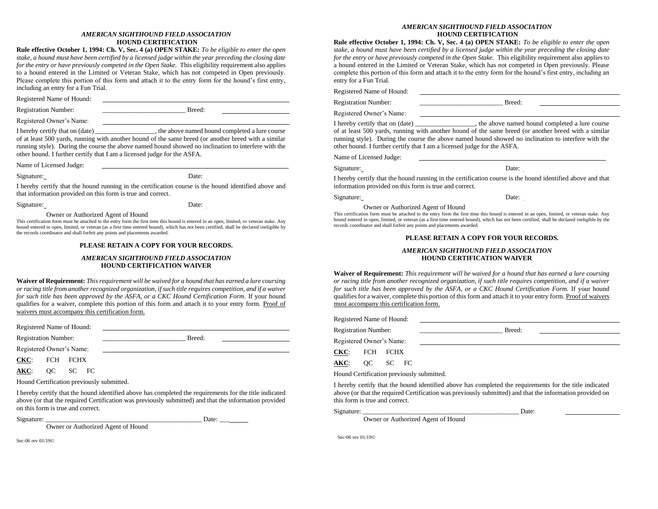#### *AMERICAN SIGHTHOUND FIELD ASSOCIATION* **HOUND CERTIFICATION**

**Rule effective October 1, 1994: Ch. V, Sec. 4 (a) OPEN STAKE:** *To be eligible to enter the open stake, a hound must have been certified by a licensed judge within the year preceding the closing date for the entry or have previously competed in the Open Stake. This eligibility requirement also applies* to a hound entered in the Limited or Veteran Stake, which has not competed in Open previously. Please complete this portion of this form and attach it to the entry form for the hound's first entry, including an entry for a Fun Trial.

Registered Name of Hound:

Registration Number: **Example 2** Breed:

Registered Owner's Name:

I hereby certify that on (date)  $\qquad \qquad$  the above named hound completed a lure course of at least 500 yards, running with another hound of the same breed (or another breed with a similar running style). During the course the above named hound showed no inclination to interfere with the other hound. I further certify that I am a licensed judge for the ASFA.

Name of Licensed Judge:

Signature: Date: Date:

I hereby certify that the hound running in the certification course is the hound identified above and that information provided on this form is true and correct.

Signature: Date:

Owner or Authorized Agent of Hound

This certification form must be attached to the entry form the first time this hound is entered in an open, limited, or veteran stake. Any hound entered in open, limited, or veteran (as a first time entered hound), which has not been certified, shall be declared ineligible by the records coordinator and shall forfeit any points and placements awarded.

#### **PLEASE RETAIN A COPY FOR YOUR RECORDS.**

#### *AMERICAN SIGHTHOUND FIELD ASSOCIATION* **HOUND CERTIFICATION WAIVER**

**Waiver of Requirement:** *This requirement will be waived for a hound that has earned a lure coursing or racing title from another recognized organization, if such title requires competition, and if a waiver for such title has been approved by the ASFA, or a CKC Hound Certification Form.* If your hound qualifies for a waiver, complete this portion of this form and attach it to your entry form. Proof of waivers must accompany this certification form.

Registered Name of Hound:

Registration Number: \_\_\_\_\_\_\_\_\_\_\_\_\_\_\_\_\_\_\_\_\_\_\_\_\_ Breed:

Registered Owner's Name:

**CKC**: FCH FCHX

**AKC**: QC SC FC

Hound Certification previously submitted.

I hereby certify that the hound identified above has completed the requirements for the title indicated above (or that the required Certification was previously submitted) and that the information provided on this form is true and correct.

Signature: \_\_\_\_\_\_\_\_\_\_\_\_\_\_\_\_\_\_\_\_\_\_\_\_\_\_\_\_\_\_\_\_\_\_\_\_\_\_\_\_\_\_\_\_\_\_\_ Date: \_\_\_

Owner or Authorized Agent of Hound

Sec-06 rev 01/19©

#### *AMERICAN SIGHTHOUND FIELD ASSOCIATION* **HOUND CERTIFICATION**

**Rule effective October 1, 1994: Ch. V, Sec. 4 (a) OPEN STAKE:** *To be eligible to enter the open stake, a hound must have been certified by a licensed judge within the year preceding the closing date for the entry or have previously competed in the Open Stake.* This eligibility requirement also applies to a hound entered in the Limited or Veteran Stake, which has not competed in Open previously. Please complete this portion of this form and attach it to the entry form for the hound's first entry, including an entry for a Fun Trial.

Registered Name of Hound:

Registration Number: \_\_\_\_\_\_\_\_\_\_\_\_\_\_\_\_\_\_\_\_\_\_\_\_\_ Breed:

Registered Owner's Name:

I hereby certify that on (date)  $\qquad \qquad$ , the above named hound completed a lure course of at least 500 yards, running with another hound of the same breed (or another breed with a similar running style). During the course the above named hound showed no inclination to interfere with the other hound. I further certify that I am a licensed judge for the ASFA.

Name of Licensed Judge:

Signature: Date:

I hereby certify that the hound running in the certification course is the hound identified above and that information provided on this form is true and correct.

Signature: Date: Date:

Owner or Authorized Agent of Hound

This certification form must be attached to the entry form the first time this hound is entered in an open, limited, or veteran stake. Any hound entered in open, limited, or veteran (as a first time entered hound), which has not been certified, shall be declared ineligible by the records coordinator and shall forfeit any points and placements awarded.

#### **PLEASE RETAIN A COPY FOR YOUR RECORDS.**

#### *AMERICAN SIGHTHOUND FIELD ASSOCIATION* **HOUND CERTIFICATION WAIVER**

**Waiver of Requirement:** *This requirement will be waived for a hound that has earned a lure coursing or racing title from another recognized organization, if such title requires competition, and if a waiver for such title has been approved by the ASFA, or a CKC Hound Certification Form.* If your hound qualifies for a waiver, complete this portion of this form and attach it to your entry form. Proof of waivers must accompany this certification form.

Registered Name of Hound:

Registration Number: \_\_\_\_\_\_\_\_\_\_\_\_\_\_\_\_\_\_\_\_\_\_\_\_\_ Breed:

Registered Owner's Name:

**CKC**: FCH FCHX

**AKC**: QC SC FC

Hound Certification previously submitted.

I hereby certify that the hound identified above has completed the requirements for the title indicated above (or that the required Certification was previously submitted) and that the information provided on this form is true and correct.

Signature:  $\Box$ 

Owner or Authorized Agent of Hound

Sec-06 rev 01/19©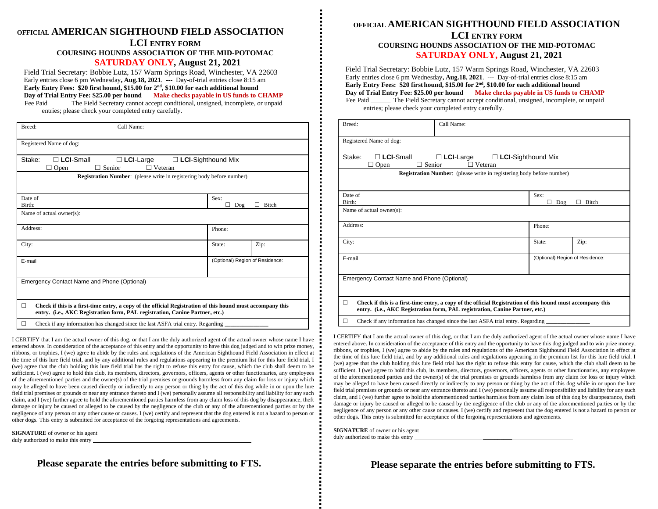## **OFFICIAL AMERICAN SIGHTHOUND FIELD ASSOCIATION LCI ENTRY FORM**

# **COURSING HOUNDS ASSOCIATION OF THE MID-POTOMAC SATURDAY ONLY, August 21, 2021**

Field Trial Secretary: Bobbie Lutz, 157 Warm Springs Road, Winchester, VA 22603 Early entries close 6 pm Wednesday**, Aug.18, 2021**. --- Day-of-trial entries close 8:15 am **Early Entry Fees: \$20 first hound, \$15.00 for 2nd , \$10.00 for each additional hound Day of Trial Entry Fee: \$25.00 per hound Make checks payable in US funds to CHAMP** Fee Paid \_\_\_\_\_\_\_ The Field Secretary cannot accept conditional, unsigned, incomplete, or unpaid

entries; please check your completed entry carefully.

| Breed:                                       | Call Name:                                                                                                                                                                                 |                                 |       |
|----------------------------------------------|--------------------------------------------------------------------------------------------------------------------------------------------------------------------------------------------|---------------------------------|-------|
| Registered Name of dog:                      |                                                                                                                                                                                            |                                 |       |
| $\Box$ LCI-Small<br>Stake:<br>Senior<br>Open | $\Box$ LCI-Large<br>$\Box$ LCI-Sighthound Mix<br>$\Box$ Veteran                                                                                                                            |                                 |       |
|                                              | <b>Registration Number:</b> (please write in registering body before number)                                                                                                               |                                 |       |
| Date of<br>Birth:                            |                                                                                                                                                                                            | Sex:<br>Dog                     | Bitch |
| Name of actual owner(s):                     |                                                                                                                                                                                            |                                 |       |
| Address:                                     |                                                                                                                                                                                            | Phone:                          |       |
| City:                                        |                                                                                                                                                                                            | State:                          | Zip:  |
| E-mail                                       |                                                                                                                                                                                            | (Optional) Region of Residence: |       |
| Emergency Contact Name and Phone (Optional)  |                                                                                                                                                                                            |                                 |       |
| □                                            | Check if this is a first-time entry, a copy of the official Registration of this hound must accompany this<br>entry. (i.e., AKC Registration form, PAL registration, Canine Partner, etc.) |                                 |       |
| □                                            | Check if any information has changed since the last ASFA trial entry. Regarding                                                                                                            |                                 |       |

I CERTIFY that I am the actual owner of this dog, or that I am the duly authorized agent of the actual owner whose name I have entered above. In consideration of the acceptance of this entry and the opportunity to have this dog judged and to win prize money, ribbons, or trophies, I (we) agree to abide by the rules and regulations of the American Sighthound Field Association in effect at the time of this lure field trial, and by any additional rules and regulations appearing in the premium list for this lure field trial. I (we) agree that the club holding this lure field trial has the right to refuse this entry for cause, which the club shall deem to be sufficient. I (we) agree to hold this club, its members, directors, governors, officers, agents or other functionaries, any employees of the aforementioned parties and the owner(s) of the trial premises or grounds harmless from any claim for loss or injury which may be alleged to have been caused directly or indirectly to any person or thing by the act of this dog while in or upon the lure field trial premises or grounds or near any entrance thereto and I (we) personally assume all responsibility and liability for any such claim, and I (we) further agree to hold the aforementioned parties harmless from any claim loss of this dog by disappearance, theft damage or injury be caused or alleged to be caused by the negligence of the club or any of the aforementioned parties or by the negligence of any person or any other cause or causes. I (we) certify and represent that the dog entered is not a hazard to person or other dogs. This entry is submitted for acceptance of the forgoing representations and agreements.

**SIGNATURE** of owner or his agent

duly authorized to make this entry

 **Please separate the entries before submitting to FTS.**

## **OFFICIAL AMERICAN SIGHTHOUND FIELD ASSOCIATION LCI ENTRY FORM COURSING HOUNDS ASSOCIATION OF THE MID-POTOMAC**

**SATURDAY ONLY, August 21, 2021**

Field Trial Secretary: Bobbie Lutz, 157 Warm Springs Road, Winchester, VA 22603 Early entries close 6 pm Wednesday**, Aug.18, 2021**. --- Day-of-trial entries close 8:15 am **Early Entry Fees: \$20 first hound, \$15.00 for 2nd , \$10.00 for each additional hound Day of Trial Entry Fee: \$25.00 per hound Make checks payable in US funds to CHAMP**

Fee Paid \_\_\_\_\_\_\_ The Field Secretary cannot accept conditional, unsigned, incomplete, or unpaid entries; please check your completed entry carefully.

| Breed:                                              | Call Name:                                                                                                                                                                                 |                                 |       |
|-----------------------------------------------------|--------------------------------------------------------------------------------------------------------------------------------------------------------------------------------------------|---------------------------------|-------|
| Registered Name of dog:                             |                                                                                                                                                                                            |                                 |       |
| $\Box$ LCI-Small<br>Stake:<br>Senior<br>Open<br>- 1 | $\Box$ LCI-Large<br>$\Box$ LCI-Sighthound Mix<br>$\Box$ Veteran                                                                                                                            |                                 |       |
|                                                     | <b>Registration Number:</b> (please write in registering body before number)                                                                                                               |                                 |       |
| Date of<br>Birth:                                   |                                                                                                                                                                                            | Sex:<br>Dog                     | Bitch |
| Name of actual owner(s):                            |                                                                                                                                                                                            |                                 |       |
| Address:                                            |                                                                                                                                                                                            | Phone:                          |       |
| City:                                               |                                                                                                                                                                                            | State:                          | Zip:  |
| E-mail                                              |                                                                                                                                                                                            | (Optional) Region of Residence: |       |
| Emergency Contact Name and Phone (Optional)         |                                                                                                                                                                                            |                                 |       |
| П                                                   | Check if this is a first-time entry, a copy of the official Registration of this hound must accompany this<br>entry. (i.e., AKC Registration form, PAL registration, Canine Partner, etc.) |                                 |       |
| П                                                   | Check if any information has changed since the last ASFA trial entry. Regarding                                                                                                            |                                 |       |

I CERTIFY that I am the actual owner of this dog, or that I am the duly authorized agent of the actual owner whose name I have entered above. In consideration of the acceptance of this entry and the opportunity to have this dog judged and to win prize money, ribbons, or trophies, I (we) agree to abide by the rules and regulations of the American Sighthound Field Association in effect at the time of this lure field trial, and by any additional rules and regulations appearing in the premium list for this lure field trial. I (we) agree that the club holding this lure field trial has the right to refuse this entry for cause, which the club shall deem to be sufficient. I (we) agree to hold this club, its members, directors, governors, officers, agents or other functionaries, any employees of the aforementioned parties and the owner(s) of the trial premises or grounds harmless from any claim for loss or injury which may be alleged to have been caused directly or indirectly to any person or thing by the act of this dog while in or upon the lure field trial premises or grounds or near any entrance thereto and I (we) personally assume all responsibility and liability for any such claim, and I (we) further agree to hold the aforementioned parties harmless from any claim loss of this dog by disappearance, theft damage or injury be caused or alleged to be caused by the negligence of the club or any of the aforementioned parties or by the negligence of any person or any other cause or causes. I (we) certify and represent that the dog entered is not a hazard to person or other dogs. This entry is submitted for acceptance of the forgoing representations and agreements.

**SIGNATURE** of owner or his agent duly authorized to make this entry

 **Please separate the entries before submitting to FTS.**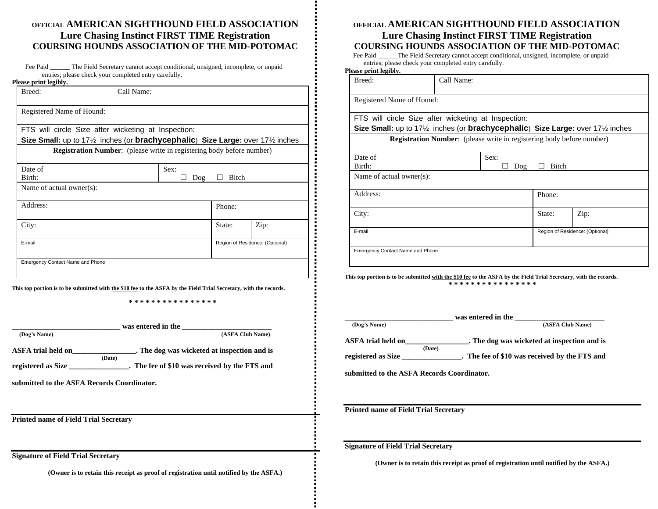# **OFFICIAL AMERICAN SIGHTHOUND FIELD ASSOCIATION Lure Chasing Instinct FIRST TIME Registration COURSING HOUNDS ASSOCIATION OF THE MID-POTOMAC**

| Fee Paid | The Field Secretary cannot accept conditional, unsigned, incomplete, or unpaid |
|----------|--------------------------------------------------------------------------------|
|          | entries; please check your completed entry carefully.                          |

| Call Name:                |                              |                                                     |                                                                                                                                                                                                                            |
|---------------------------|------------------------------|-----------------------------------------------------|----------------------------------------------------------------------------------------------------------------------------------------------------------------------------------------------------------------------------|
|                           |                              |                                                     |                                                                                                                                                                                                                            |
| Registered Name of Hound: |                              |                                                     |                                                                                                                                                                                                                            |
|                           |                              |                                                     |                                                                                                                                                                                                                            |
|                           |                              |                                                     |                                                                                                                                                                                                                            |
|                           |                              |                                                     |                                                                                                                                                                                                                            |
|                           | Sex:                         |                                                     |                                                                                                                                                                                                                            |
|                           | $\log$                       | Bitch                                               |                                                                                                                                                                                                                            |
|                           |                              |                                                     |                                                                                                                                                                                                                            |
|                           |                              | Phone:                                              |                                                                                                                                                                                                                            |
|                           |                              | State:                                              | Zip:                                                                                                                                                                                                                       |
|                           |                              |                                                     | Region of Residence: (Optional)                                                                                                                                                                                            |
|                           | Name of actual owner $(s)$ : | FTS will circle Size after wicketing at Inspection: | Size Small: up to 17 <sup>1</sup> / <sub>2</sub> inches (or <b>brachycephalic</b> ) Size Large: over 17 <sup>1</sup> / <sub>2</sub> inches<br><b>Registration Number:</b> (please write in registering body before number) |

**This top portion is to be submitted with the \$10 fee to the ASFA by the Field Trial Secretary, with the records.**

**\* \* \* \* \* \* \* \* \* \* \* \* \* \* \* \***

| (Dog's Name)                                 | was entered in the<br>(ASFA Club Name)                |
|----------------------------------------------|-------------------------------------------------------|
| ASFA trial held on                           | . The dog was wicketed at inspection and is<br>(Date) |
| registered as Size                           | . The fee of \$10 was received by the FTS and         |
| submitted to the ASFA Records Coordinator.   |                                                       |
|                                              |                                                       |
| <b>Printed name of Field Trial Secretary</b> |                                                       |
|                                              |                                                       |

**(Owner is to retain this receipt as proof of registration until notified by the ASFA.)**

# **OFFICIAL AMERICAN SIGHTHOUND FIELD ASSOCIATION Lure Chasing Instinct FIRST TIME Registration COURSING HOUNDS ASSOCIATION OF THE MID-POTOMAC**

Fee Paid \_\_\_\_\_\_The Field Secretary cannot accept conditional, unsigned, incomplete, or unpaid entries; please check your completed entry carefully.

#### **Please print legibly.**

| Breed:                                                                                                                                                                                           | Call Name: |                                                                              |        |                                 |
|--------------------------------------------------------------------------------------------------------------------------------------------------------------------------------------------------|------------|------------------------------------------------------------------------------|--------|---------------------------------|
| Registered Name of Hound:                                                                                                                                                                        |            |                                                                              |        |                                 |
| FTS will circle Size after wicketing at Inspection:<br>Size Small: up to 17 <sup>1</sup> / <sub>2</sub> inches (or <b>brachycephalic)</b> Size Large: over 17 <sup>1</sup> / <sub>2</sub> inches |            |                                                                              |        |                                 |
|                                                                                                                                                                                                  |            | <b>Registration Number:</b> (please write in registering body before number) |        |                                 |
| Date of<br>Birth:                                                                                                                                                                                |            | Sex:<br>$\log$                                                               | Bitch  |                                 |
| Name of actual owner(s):                                                                                                                                                                         |            |                                                                              |        |                                 |
| Address:                                                                                                                                                                                         |            |                                                                              | Phone: |                                 |
| City:                                                                                                                                                                                            |            |                                                                              | State: | Zip:                            |
| E-mail                                                                                                                                                                                           |            |                                                                              |        | Region of Residence: (Optional) |
| Emergency Contact Name and Phone                                                                                                                                                                 |            |                                                                              |        |                                 |

**This top portion is to be submitted with the \$10 fee to the ASFA by the Field Trial Secretary, with the records. \* \* \* \* \* \* \* \* \* \* \* \* \* \* \* \***

| (ASFA Club Name)<br>. The dog was wicketed at inspection and is<br>. The fee of \$10 was received by the FTS and |
|------------------------------------------------------------------------------------------------------------------|
|                                                                                                                  |
|                                                                                                                  |
|                                                                                                                  |
|                                                                                                                  |
| submitted to the ASFA Records Coordinator.                                                                       |

**Signature of Field Trial Secretary**

**(Owner is to retain this receipt as proof of registration until notified by the ASFA.)**